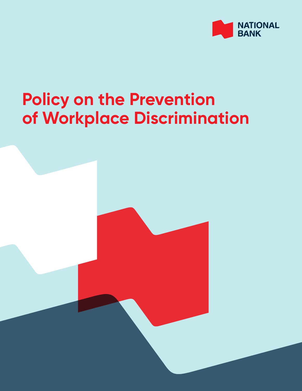

## **Policy on the Prevention of Workplace Discrimination**

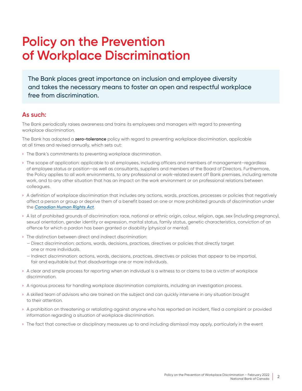## **Policy on the Prevention of Workplace Discrimination**

The Bank places great importance on inclusion and employee diversity and takes the necessary means to foster an open and respectful workplace free from discrimination.

## **As such:**

The Bank periodically raises awareness and trains its employees and managers with regard to preventing workplace discrimination.

The Bank has adopted a **zero-tolerance** policy with regard to preventing workplace discrimination, applicable at all times and revised annually, which sets out:

- › The Bank's commitments to preventing workplace discrimination.
- › The scope of application: applicable to all employees, including officers and members of management—regardless of employee status or position—as well as consultants, suppliers and members of the Board of Directors. Furthermore, the Policy applies to all work environments, to any professional or work-related event off Bank premises, including remote work, and to any other situation that has an impact on the work environment or on professional relations between colleagues.
- › A definition of workplace discrimination that includes any actions, words, practices, processes or policies that negatively affect a person or group or deprive them of a benefit based on one or more prohibited grounds of discrimination under the *[Canadian Human Rights Act](https://lois.justice.gc.ca/eng/acts/h-6/index.html)*.
- › A list of prohibited grounds of discrimination: race, national or ethnic origin, colour, religion, age, sex (including pregnancy), sexual orientation, gender identity or expression, marital status, family status, genetic characteristics, conviction of an offence for which a pardon has been granted or disability (physical or mental).
- › The distinction between direct and indirect discrimination:
	- Direct discrimination: actions, words, decisions, practices, directives or policies that directly target one or more individuals.
	- Indirect discrimination: actions, words, decisions, practices, directives or policies that appear to be impartial, fair and equitable but that disadvantage one or more individuals.
- › A clear and simple process for reporting when an individual is a witness to or claims to be a victim of workplace discrimination.
- › A rigorous process for handling workplace discrimination complaints, including an investigation process.
- › A skilled team of advisors who are trained on the subject and can quickly intervene in any situation brought to their attention.
- › A prohibition on threatening or retaliating against anyone who has reported an incident, filed a complaint or provided information regarding a situation of workplace discrimination.
- › The fact that corrective or disciplinary measures up to and including dismissal may apply, particularly in the event